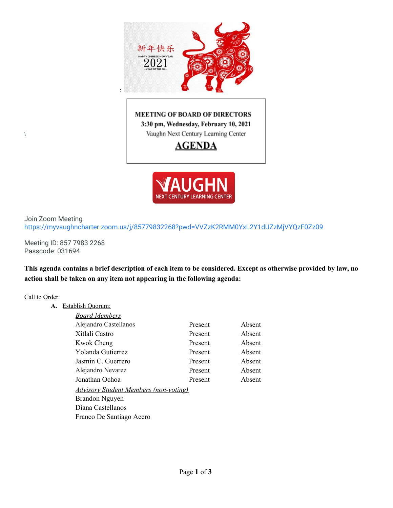

## **MEETING OF BOARD OF DIRECTORS** 3:30 pm, Wednesday, February 10, 2021 Vaughn Next Century Learning Center

**AGENDA** 



Join Zoom Meeting <https://myvaughncharter.zoom.us/j/85779832268?pwd=VVZzK2RMM0YxL2Y1dUZzMjVYQzF0Zz09>

Meeting ID: 857 7983 2268 Passcode: 031694

This agenda contains a brief description of each item to be considered. Except as otherwise provided by law, no **action shall be taken on any item not appearing in the following agenda:**

#### Call to Order

 $\lambda$ 

**A.** Establish Quorum:

| <b>Board Members</b>                         |         |        |
|----------------------------------------------|---------|--------|
| Alejandro Castellanos                        | Present | Absent |
| Xitlali Castro                               | Present | Absent |
| <b>Kwok Cheng</b>                            | Present | Absent |
| Yolanda Gutierrez                            | Present | Absent |
| Jasmin C. Guerrero                           | Present | Absent |
| Alejandro Nevarez                            | Present | Absent |
| Jonathan Ochoa                               | Present | Absent |
| <u>Advisory Student Members (non-voting)</u> |         |        |
| Brandon Nguyen                               |         |        |
| Diana Castellanos                            |         |        |
| Franco De Santiago Acero                     |         |        |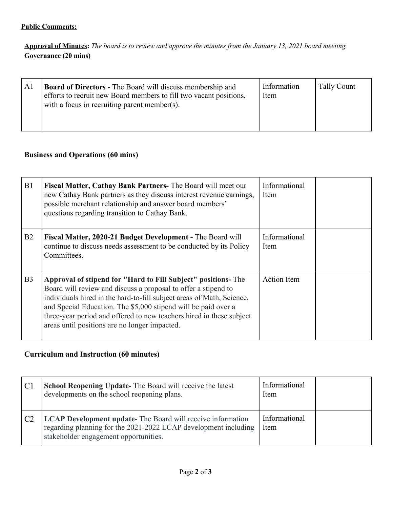## **Public Comments:**

Approval of Minutes: The board is to review and approve the minutes from the January 13, 2021 board meeting. **Governance (20 mins)**

| A <sub>1</sub> | <b>Board of Directors - The Board will discuss membership and</b><br>efforts to recruit new Board members to fill two vacant positions,<br>with a focus in recruiting parent member(s). | Information<br>Item | Tally Count |
|----------------|-----------------------------------------------------------------------------------------------------------------------------------------------------------------------------------------|---------------------|-------------|
|----------------|-----------------------------------------------------------------------------------------------------------------------------------------------------------------------------------------|---------------------|-------------|

## **Business and Operations (60 mins)**

| B1             | Fiscal Matter, Cathay Bank Partners- The Board will meet our<br>new Cathay Bank partners as they discuss interest revenue earnings,<br>possible merchant relationship and answer board members'<br>questions regarding transition to Cathay Bank.                                                                                                                                                  | Informational<br>Item |
|----------------|----------------------------------------------------------------------------------------------------------------------------------------------------------------------------------------------------------------------------------------------------------------------------------------------------------------------------------------------------------------------------------------------------|-----------------------|
| B2             | Fiscal Matter, 2020-21 Budget Development - The Board will<br>continue to discuss needs assessment to be conducted by its Policy<br>Committees.                                                                                                                                                                                                                                                    | Informational<br>Item |
| B <sub>3</sub> | Approval of stipend for "Hard to Fill Subject" positions-The<br>Board will review and discuss a proposal to offer a stipend to<br>individuals hired in the hard-to-fill subject areas of Math, Science,<br>and Special Education. The \$5,000 stipend will be paid over a<br>three-year period and offered to new teachers hired in these subject<br>areas until positions are no longer impacted. | <b>Action</b> Item    |

# **Curriculum and Instruction (60 minutes)**

| C <sub>1</sub> | <b>School Reopening Update-</b> The Board will receive the latest<br>developments on the school reopening plans.                                                               | Informational<br>Item |  |
|----------------|--------------------------------------------------------------------------------------------------------------------------------------------------------------------------------|-----------------------|--|
| C <sub>2</sub> | <b>LCAP Development update-</b> The Board will receive information<br>regarding planning for the 2021-2022 LCAP development including<br>stakeholder engagement opportunities. | Informational<br>Item |  |